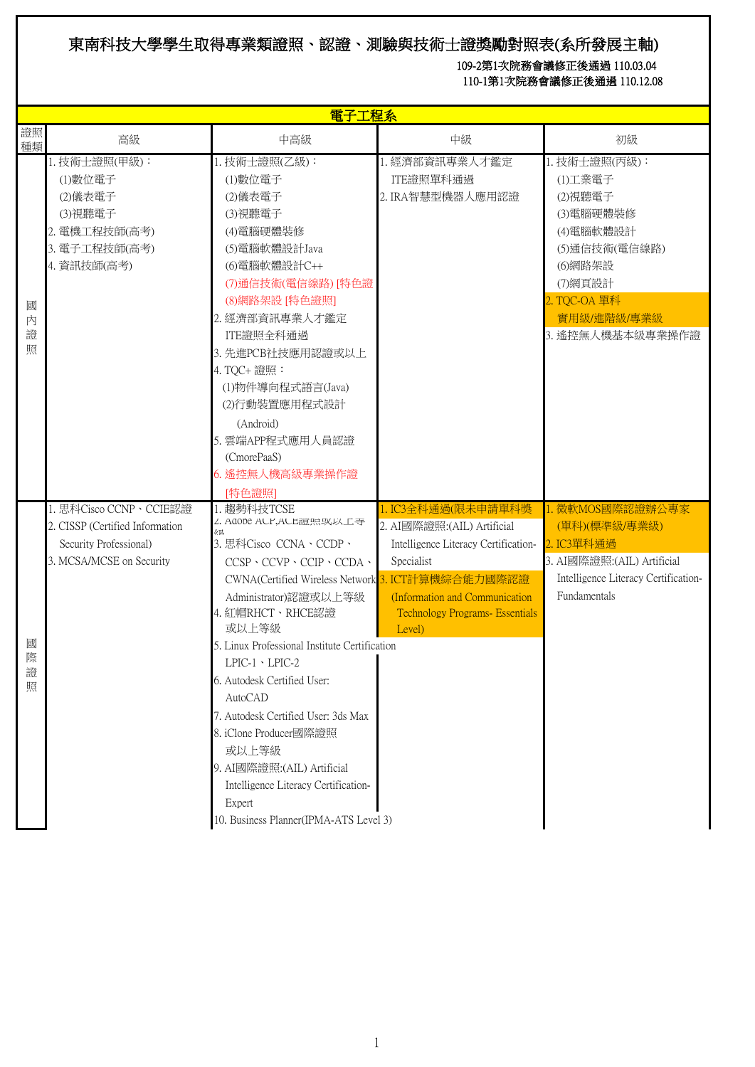## 東南科技大學學生取得專業類證照、認證、測驗與技術士證獎勵對照表(系所發展主軸)

## 109-2第1次院務會議修正後通過 110.03.04 110-1第1次院務會議修正後通過 110.12.08

|                  |                                                                                                                 | 電子工程系                                                                                                                                                                                                                                                                                                                                                                                                                                                                                                                                                     |                                                                                                                                                                                               |                                                                                                                                                         |
|------------------|-----------------------------------------------------------------------------------------------------------------|-----------------------------------------------------------------------------------------------------------------------------------------------------------------------------------------------------------------------------------------------------------------------------------------------------------------------------------------------------------------------------------------------------------------------------------------------------------------------------------------------------------------------------------------------------------|-----------------------------------------------------------------------------------------------------------------------------------------------------------------------------------------------|---------------------------------------------------------------------------------------------------------------------------------------------------------|
| 證照<br>種類         | 高級                                                                                                              | 中高級                                                                                                                                                                                                                                                                                                                                                                                                                                                                                                                                                       | 中級                                                                                                                                                                                            | 初級                                                                                                                                                      |
| 國<br>內<br>證<br>照 | 1. 技術士證照(甲級):<br>(1)數位電子<br>(2)儀表電子<br>(3)視聽電子<br>2. 電機工程技師(高考)<br>3. 電子工程技師(高考)<br>4. 資訊技師(高考)                 | 1. 技術士證照(乙級):<br>(1)數位電子<br>(2)儀表電子<br>(3)視聽電子<br>(4)電腦硬體裝修<br>(5)電腦軟體設計Java<br>(6)電腦軟體設計C++<br>(7)通信技術(電信線路)[特色證<br>(8)網路架設 [特色證照]<br>2. 經濟部資訊專業人才鑑定<br>ITE證照全科通過<br>3. 先進PCB社技應用認證或以上<br>4. TQC+ 證照:<br>(1)物件導向程式語言(Java)<br>(2)行動裝置應用程式設計<br>(Android)<br>5. 雲端APP程式應用人員認證<br>(CmorePaaS)<br>6. 遙控無人機高級專業操作證<br>[特色證照]                                                                                                                                                                                                                                 | 1. 經濟部資訊專業人才鑑定<br>ITE證照單科通過<br>2. IRA智慧型機器人應用認證                                                                                                                                               | 1. 技術士證照(丙級):<br>(1)工業電子<br>(2)視聽電子<br>(3)電腦硬體裝修<br>(4)電腦軟體設計<br>(5)通信技術(電信線路)<br>(6)網路架設<br>(7)網頁設計<br>2. TQC-OA 單科<br>實用級/進階級/專業級<br>3. 遙控無人機基本級專業操作證 |
| 國<br>際<br>證<br>照 | 1. 思科Cisco CCNP、CCIE認證<br>2. CISSP (Certified Information<br>Security Professional)<br>3. MCSA/MCSE on Security | 1. 趨勢科技TCSE<br>Z. Adobe AUP, AUL證照以以上寺<br>4H<br>3. 思科Cisco CCNA、CCDP、<br>$CCSP \cdot CCVP \cdot CCIP \cdot CCDA \cdot$<br>CWNA(Certified Wireless Network 3. ICT計算機綜合能力國際認證<br>Administrator)認證或以上等級<br>4. 紅帽RHCT、RHCE認證<br>或以上等級<br>5. Linux Professional Institute Certification<br>$LPIC-1 \cdot LPIC-2$<br>6. Autodesk Certified User:<br>AutoCAD<br>7. Autodesk Certified User: 3ds Max<br>8. iClone Producer國際證照<br>或以上等級<br>9. AI國際證照:(AIL) Artificial<br>Intelligence Literacy Certification-<br>Expert<br>10. Business Planner(IPMA-ATS Level 3) | 1. IC3全科通過(限未申請單科獎<br>2. AI國際證照: (AIL) Artificial<br>Intelligence Literacy Certification-<br>Specialist<br>(Information and Communication<br><b>Technology Programs- Essentials</b><br>Level) | 1. 微軟MOS國際認證辦公專家<br>(單科)(標準級/專業級)<br>2. IC3單科通過<br>3. AI國際證照: (AIL) Artificial<br>Intelligence Literacy Certification-<br>Fundamentals                  |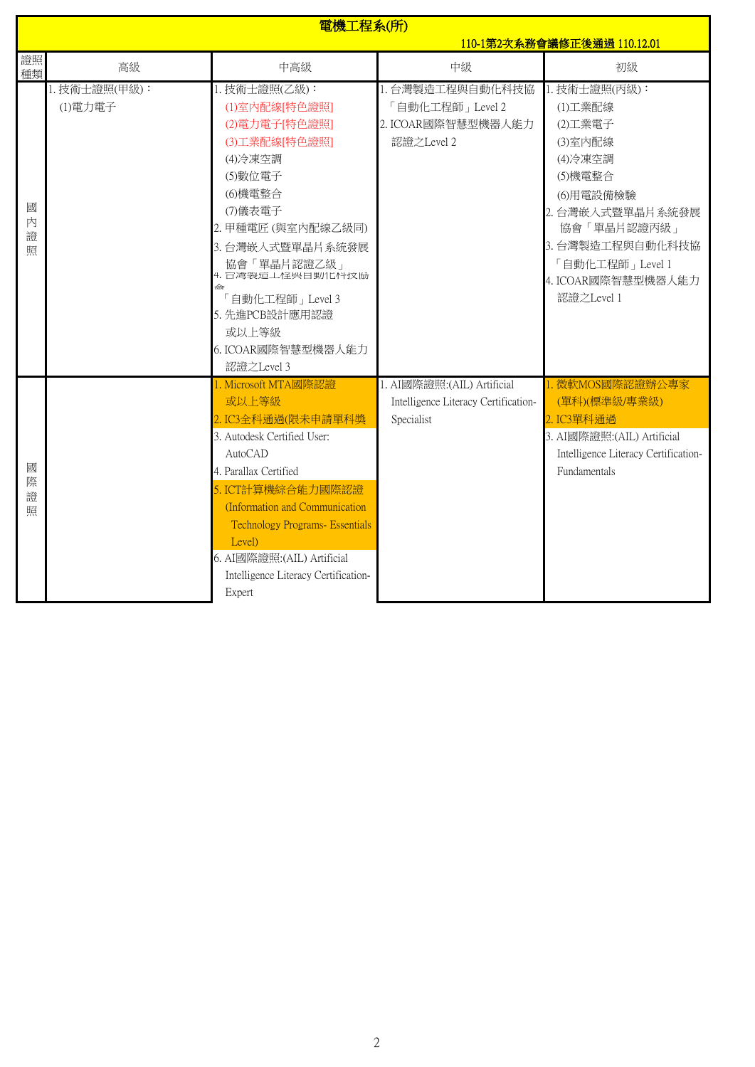|                  | 電機工程系(所)                 |                                                                                                                                                                                                                                                                                                                    |                                                                                   |                                                                                                                                                                                                  |  |
|------------------|--------------------------|--------------------------------------------------------------------------------------------------------------------------------------------------------------------------------------------------------------------------------------------------------------------------------------------------------------------|-----------------------------------------------------------------------------------|--------------------------------------------------------------------------------------------------------------------------------------------------------------------------------------------------|--|
|                  |                          |                                                                                                                                                                                                                                                                                                                    | 110-1第2次系務會議修正後通過 110.12.01                                                       |                                                                                                                                                                                                  |  |
| 證照<br>種類         | 高級                       | 中高級                                                                                                                                                                                                                                                                                                                | 中級                                                                                | 初級                                                                                                                                                                                               |  |
| 國<br>内<br>證<br>照 | 1. 技術士證照(甲級):<br>(1)電力電子 | 1. 技術士證照(乙級):<br>(1)室内配線[特色證照]<br>(2)電力電子[特色證照]<br>(3)工業配線[特色證照]<br>(4) 冷凍空調<br>(5)數位電子<br>(6)機電整合<br>(7)儀表電子<br>2. 甲種電匠 (與室內配線乙級同)<br>3. 台灣嵌入式暨單晶片系統發展<br>協會「單晶片認證乙級」<br>4. 百湾袅煊工怪哭目動化性坟肠<br>命<br>「自動化工程師」Level 3<br>5. 先進PCB設計應用認證<br>或以上等級<br>6. ICOAR國際智慧型機器人能力<br>認證之Level 3                                  | 1. 台灣製造工程與自動化科技協<br>「自動化工程師」Level 2<br>2. ICOAR國際智慧型機器人能力<br>認證之Level 2           | 1. 技術士證照(丙級):<br>(1)工業配線<br>(2)工業電子<br>(3)室内配線<br>(4) 冷凍空調<br>(5)機電整合<br>(6)用電設備檢驗<br>2. 台灣嵌入式暨單晶片系統發展<br>協會「單晶片認證丙級」<br>3. 台灣製造工程與自動化科技協<br>「自動化工程師」Level 1<br>4. ICOAR國際智慧型機器人能力<br>認證之Level 1 |  |
| 國<br>際<br>證<br>照 |                          | 1. Microsoft MTA國際認證<br>或以上等級<br>2. IC3全科通過(限未申請單科獎<br>3. Autodesk Certified User:<br>AutoCAD<br>4. Parallax Certified<br>5. ICT計算機綜合能力國際認證<br>(Information and Communication<br><b>Technology Programs- Essentials</b><br>Level)<br>6. AI國際證照: (AIL) Artificial<br>Intelligence Literacy Certification-<br>Expert | 1. AI國際證照: (AIL) Artificial<br>Intelligence Literacy Certification-<br>Specialist | . 微軟MOS國際認證辦公專家<br>(單科)(標準級/專業級)<br>2. IC3單科通過<br>3. AI國際證照: (AIL) Artificial<br>Intelligence Literacy Certification-<br>Fundamentals                                                            |  |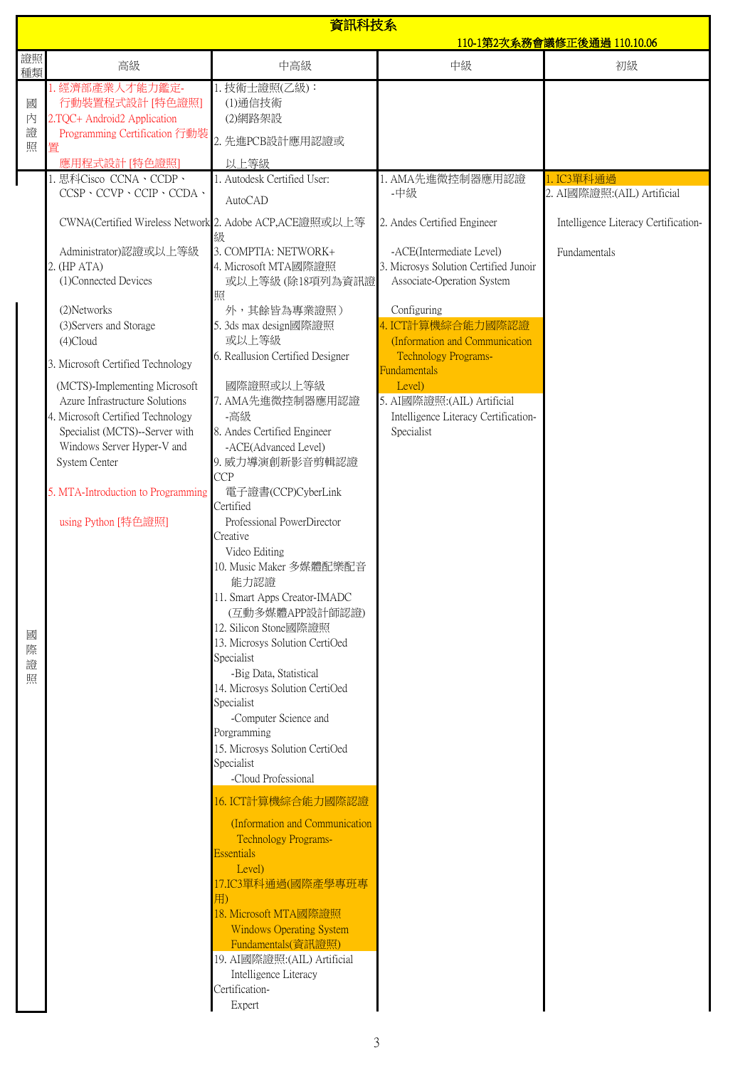| 資訊科技系<br><u>110-1第2次系務會議修正後通過 110.10.06</u>                                                                                                                                                                                                                                                                                                                                                                                                                                                                                   |                                                                                                                                                                                                                                                                                                                                                                                                                                                                                                                                                                                                                                                                                                                                                                                                                                                                                                                                                                                                                                                                                                                                                                                          |                                                                                                                                                                                                                                                                                                                                                                                      |                                                                                                   |
|-------------------------------------------------------------------------------------------------------------------------------------------------------------------------------------------------------------------------------------------------------------------------------------------------------------------------------------------------------------------------------------------------------------------------------------------------------------------------------------------------------------------------------|------------------------------------------------------------------------------------------------------------------------------------------------------------------------------------------------------------------------------------------------------------------------------------------------------------------------------------------------------------------------------------------------------------------------------------------------------------------------------------------------------------------------------------------------------------------------------------------------------------------------------------------------------------------------------------------------------------------------------------------------------------------------------------------------------------------------------------------------------------------------------------------------------------------------------------------------------------------------------------------------------------------------------------------------------------------------------------------------------------------------------------------------------------------------------------------|--------------------------------------------------------------------------------------------------------------------------------------------------------------------------------------------------------------------------------------------------------------------------------------------------------------------------------------------------------------------------------------|---------------------------------------------------------------------------------------------------|
| 證照<br>高級                                                                                                                                                                                                                                                                                                                                                                                                                                                                                                                      | 中高級                                                                                                                                                                                                                                                                                                                                                                                                                                                                                                                                                                                                                                                                                                                                                                                                                                                                                                                                                                                                                                                                                                                                                                                      | 中級                                                                                                                                                                                                                                                                                                                                                                                   | 初級                                                                                                |
| 種類<br>. 經濟部產業人才能力鑑定-<br>行動裝置程式設計 [特色證照]<br>國<br>内<br>2.TQC+ Android2 Application<br>證<br>Programming Certification 行動裝<br>照<br>置                                                                                                                                                                                                                                                                                                                                                                                              | 1. 技術士證照(乙級):<br>(1)通信技術<br>(2)網路架設<br>2. 先進PCB設計應用認證或                                                                                                                                                                                                                                                                                                                                                                                                                                                                                                                                                                                                                                                                                                                                                                                                                                                                                                                                                                                                                                                                                                                                   |                                                                                                                                                                                                                                                                                                                                                                                      |                                                                                                   |
|                                                                                                                                                                                                                                                                                                                                                                                                                                                                                                                               |                                                                                                                                                                                                                                                                                                                                                                                                                                                                                                                                                                                                                                                                                                                                                                                                                                                                                                                                                                                                                                                                                                                                                                                          |                                                                                                                                                                                                                                                                                                                                                                                      |                                                                                                   |
| 應用程式設計 [特色證照]<br>思科Cisco CCNA、CCDP、<br>$CCSP \cdot CCVP \cdot CCIP \cdot CCDA \cdot$<br>Administrator)認證或以上等級<br>2. (HP ATA)<br>(1)Connected Devices<br>(2) Networks<br>(3) Servers and Storage<br>$(4)$ Cloud<br>3. Microsoft Certified Technology<br>(MCTS)-Implementing Microsoft<br>Azure Infrastructure Solutions<br>4. Microsoft Certified Technology<br>Specialist (MCTS)--Server with<br>Windows Server Hyper-V and<br>System Center<br>5. MTA-Introduction to Programming<br>using Python [特色證照]<br>國<br>際<br>證<br>照 | 以上等級<br>1. Autodesk Certified User:<br><b>AutoCAD</b><br>CWNA(Certified Wireless Network 2. Adobe ACP, ACE證照或以上等<br>級<br>3. COMPTIA: NETWORK+<br>4. Microsoft MTA國際證照<br>或以上等級 (除18項列為資訊證<br>照<br>外,其餘皆為專業證照)<br>5. 3ds max design國際證照<br>或以上等級<br>6. Reallusion Certified Designer<br>國際證照或以上等級<br>7. AMA先進微控制器應用認證<br>-高級<br>8. Andes Certified Engineer<br>-ACE(Advanced Level)<br>9. 威力導演創新影音剪輯認證<br><b>CCP</b><br>電子證書(CCP)CyberLink<br>Certified<br>Professional PowerDirector<br>Creative<br>Video Editing<br>10. Music Maker 多媒體配樂配音<br>能力認證<br>11. Smart Apps Creator-IMADC<br>(互動多媒體APP設計師認證)<br>12. Silicon Stone國際證照<br>13. Microsys Solution CertiOed<br>Specialist<br>-Big Data, Statistical<br>14. Microsys Solution CertiOed<br>Specialist<br>-Computer Science and<br>Porgramming<br>15. Microsys Solution CertiOed<br>Specialist<br>-Cloud Professional<br>16. ICT計算機綜合能力國際認證<br>(Information and Communication<br><b>Technology Programs-</b><br><b>Essentials</b><br>Level)<br>17.IC3單科通過(國際產學專班專<br>用)<br>18. Microsoft MTA國際證照<br><b>Windows Operating System</b><br>Fundamentals(資訊證照)<br>19. AI國際證照: (AIL) Artificial<br>Intelligence Literacy<br>Certification- | 1. AMA先進微控制器應用認證<br>-中級<br>2. Andes Certified Engineer<br>-ACE(Intermediate Level)<br>3. Microsys Solution Certified Junoir<br>Associate-Operation System<br>Configuring<br>4. ICT計算機綜合能力國際認證<br>(Information and Communication<br><b>Technology Programs-</b><br><b>Fundamentals</b><br>Level)<br>5. AI國際證照: (AIL) Artificial<br>Intelligence Literacy Certification-<br>Specialist | 1. IC3單科通過<br>2. AI國際證照: (AIL) Artificial<br>Intelligence Literacy Certification-<br>Fundamentals |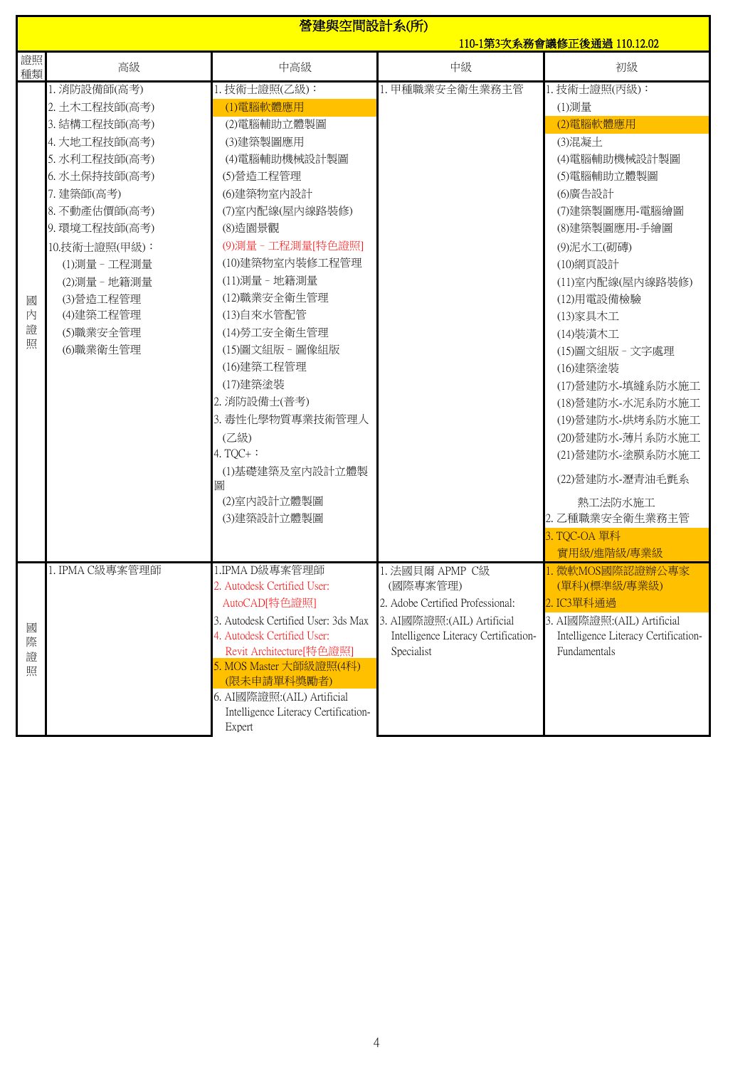|                  | 營建與空間設計系(所)<br>110-1第3次系務會議修正後通過 110.12.02                                                                                                                                                                                                             |                                                                                                                                                                                                                                                                                                                                                                                                          |                                                                                                                                                     |                                                                                                                                                                                                                                                                                                                                                                                                                                      |
|------------------|--------------------------------------------------------------------------------------------------------------------------------------------------------------------------------------------------------------------------------------------------------|----------------------------------------------------------------------------------------------------------------------------------------------------------------------------------------------------------------------------------------------------------------------------------------------------------------------------------------------------------------------------------------------------------|-----------------------------------------------------------------------------------------------------------------------------------------------------|--------------------------------------------------------------------------------------------------------------------------------------------------------------------------------------------------------------------------------------------------------------------------------------------------------------------------------------------------------------------------------------------------------------------------------------|
| 證照<br>種類         | 高級                                                                                                                                                                                                                                                     | 中高級                                                                                                                                                                                                                                                                                                                                                                                                      | 中級                                                                                                                                                  | 初級                                                                                                                                                                                                                                                                                                                                                                                                                                   |
| 國<br>内<br>證<br>照 | 1. 消防設備師(高考)<br>2. 土木工程技師(高考)<br>3. 結構工程技師(高考)<br>4. 大地工程技師(高考)<br>5. 水利工程技師(高考)<br>6. 水土保持技師(高考)<br>7. 建築師(高考)<br>8. 不動產估價師(高考)<br>9. 環境工程技師(高考)<br>10.技術士證照(甲級):<br>(1)測量 - 工程測量<br>(2)測量 - 地籍測量<br>(3)營造工程管理<br>(4)建築工程管理<br>(5)職業安全管理<br>(6)職業衛生管理 | 1. 技術士證照(乙級):<br>(1)電腦軟體應用<br>(2)電腦輔助立體製圖<br>(3)建築製圖應用<br>(4)電腦輔助機械設計製圖<br>(5)營造工程管理<br>(6)建築物室内設計<br>(7)室內配線(屋內線路裝修)<br>(8)造園景觀<br>(9)測量 - 工程測量[特色證照]<br>(10)建築物室內裝修工程管理<br>(11)測量 - 地籍測量<br>(12)職業安全衛生管理<br>(13)自來水管配管<br>(14) 勞工安全衛生管理<br>(15)圖文組版 - 圖像組版<br>(16)建築工程管理<br>(17)建築塗裝<br>2. 消防設備士(普考)<br>3. 毒性化學物質專業技術管理人<br>(乙級)<br>4. $TQC +$ :<br>(1)基礎建築及室內設計立體製<br>圖<br>(2)室内設計立體製圖<br>(3)建築設計立體製圖 | 1. 甲種職業安全衛生業務主管                                                                                                                                     | 1. 技術士證照(丙級):<br>(1)測量<br>(2)電腦軟體應用<br>(3)混凝土<br>(4) 電腦輔助機械設計製圖<br>(5)電腦輔助立體製圖<br>(6)廣告設計<br>(7)建築製圖應用-電腦繪圖<br>(8)建築製圖應用-手繪圖<br>(9)泥水工(砌磚)<br>(10)網頁設計<br>(11)室內配線(屋內線路裝修)<br>(12)用電設備檢驗<br>(13)家具木工<br>(14)装潢木工<br>(15)圖文組版 - 文字處理<br>(16)建築塗裝<br>(17)營建防水-填縫系防水施工<br>(18)營建防水-水泥系防水施工<br>(19)營建防水-烘烤系防水施工<br>(20)營建防水-薄片系防水施工<br>(21)營建防水-塗膜系防水施工<br>(22) 營建防水-瀝青油毛氈系<br>熱工法防水施工<br>2. 乙種職業安全衛生業務主管<br>3. TQC-OA 單科<br>實用級/進階級/專業級 |
| 國<br>際<br>證<br>照 | 1. IPMA C級專案管理師                                                                                                                                                                                                                                        | 1.IPMA D級專案管理師<br>2. Autodesk Certified User:<br>AutoCAD[特色證照]<br>3. Autodesk Certified User: 3ds Max<br>4. Autodesk Certified User:<br>Revit Architecture[特色證照]<br>5. MOS Master 大師級證照(4科)<br>(限未申請單科獎勵者)<br>6. AI國際證照:(AIL) Artificial<br>Intelligence Literacy Certification-<br>Expert                                                                                                               | 1. 法國貝爾 APMP C級<br>(國際專案管理)<br>2. Adobe Certified Professional:<br>3. AI國際證照:(AIL) Artificial<br>Intelligence Literacy Certification-<br>Specialist | 1. 微軟MOS國際認證辦公專家<br>(單科)(標準級/專業級)<br>2. IC3單科通過<br>3. AI國際證照:(AIL) Artificial<br>Intelligence Literacy Certification-<br>Fundamentals                                                                                                                                                                                                                                                                                                |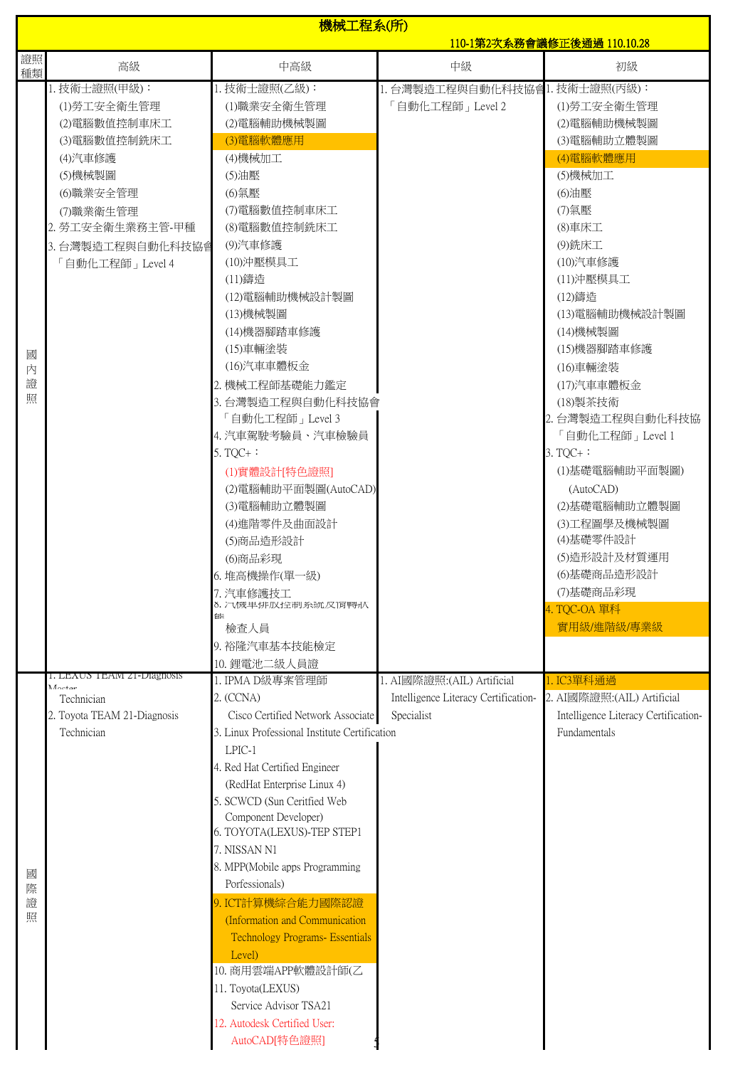|                  | 機械工程系(所)<br>110-1第2次系務會議修正後通過 110.10.28                                                                                                                                   |                                                                                                                                                                                                                                                                                                                                                                                                                                                                                                                                                                                                                                                  |                                                                                   |                                                                                                                                                                                                                                                                                                                                                                                                                   |  |
|------------------|---------------------------------------------------------------------------------------------------------------------------------------------------------------------------|--------------------------------------------------------------------------------------------------------------------------------------------------------------------------------------------------------------------------------------------------------------------------------------------------------------------------------------------------------------------------------------------------------------------------------------------------------------------------------------------------------------------------------------------------------------------------------------------------------------------------------------------------|-----------------------------------------------------------------------------------|-------------------------------------------------------------------------------------------------------------------------------------------------------------------------------------------------------------------------------------------------------------------------------------------------------------------------------------------------------------------------------------------------------------------|--|
| 證照               |                                                                                                                                                                           |                                                                                                                                                                                                                                                                                                                                                                                                                                                                                                                                                                                                                                                  |                                                                                   |                                                                                                                                                                                                                                                                                                                                                                                                                   |  |
| 種類               | 高級                                                                                                                                                                        | 中高級                                                                                                                                                                                                                                                                                                                                                                                                                                                                                                                                                                                                                                              | 中級                                                                                | 初級                                                                                                                                                                                                                                                                                                                                                                                                                |  |
| 國<br>內<br>證<br>照 | 1. 技術士證照(甲級):<br>(1) 勞工安全衛生管理<br>(2)電腦數值控制車床工<br>(3)電腦數值控制銑床工<br>(4)汽車修護<br>(5)機械製圖<br>(6)職業安全管理<br>(7)職業衛生管理<br>2. 勞工安全衛生業務主管-甲種<br>3. 台灣製造工程與自動化科技協會<br>「自動化工程師」Level 4 | 1. 技術士證照(乙級):<br>(1)職業安全衛生管理<br>(2)電腦輔助機械製圖<br>(3)電腦軟體應用<br>(4)機械加工<br>(5)油壓<br>(6) 氣壓<br>(7)電腦數值控制車床工<br>(8)電腦數值控制銑床工<br>(9)汽車修護<br>(10)沖壓模具工<br>(11)鑄造<br>(12)電腦輔助機械設計製圖<br>(13)機械製圖<br>(14)機器腳踏車修護<br>(15)車輛塗裝<br>(16)汽車車體板金<br>2. 機械工程師基礎能力鑑定<br>3. 台灣製造工程與自動化科技協會<br>「自動化工程師」Level 3<br>4. 汽車駕駛考驗員、汽車檢驗員<br>5. TQC+ $:$<br>(1)實體設計[特色證照]<br>(2)電腦輔助平面製圖(AutoCAD)<br>(3)電腦輔助立體製圖<br>(4) 進階零件及曲面設計<br>(5)商品造形設計<br>(6)商品彩現<br>6. 堆高機操作(單一級)<br>7. 汽車修護技工                                                                                                                                                                                      | 1. 台灣製造工程與自動化科技協會1. 技術士證照(丙級):<br>「自動化工程師」Level 2                                 | (1) 勞工安全衛生管理<br>(2)電腦輔助機械製圖<br>(3)電腦輔助立體製圖<br>(4)電腦軟體應用<br>(5)機械加工<br>(6)油壓<br>(7) 氣壓<br>(8) 車床工<br>(9) 銑床工<br>(10)汽車修護<br>(11)沖壓模具工<br>(12)鑄造<br>(13)電腦輔助機械設計製圖<br>(14)機械製圖<br>(15)機器腳踏車修護<br>(16)車輛塗裝<br>(17)汽車車體板金<br>(18)製茶技術<br>2. 台灣製造工程與自動化科技協<br>「自動化工程師」Level 1<br>$3. TQC +$ :<br>(1)基礎電腦輔助平面製圖)<br>(AutoCAD)<br>(2)基礎電腦輔助立體製圖<br>(3)工程圖學及機械製圖<br>(4)基礎零件設計<br>(5)造形設計及材質運用<br>(6)基礎商品造形設計<br>(7)基礎商品彩現 |  |
| 國<br>際<br>證<br>照 | 1. LEAUS TEAM 21-DIagnosis<br>Monton<br>Technician<br>2. Toyota TEAM 21-Diagnosis<br>Technician                                                                           | 8. 汽機里排放控制糸統皮惰聘狀<br>能<br>檢查人員<br>9. 裕隆汽車基本技能檢定<br>10. 鋰電池二級人員證<br>1. IPMA D級專案管理師<br>2. (CCNA)<br>Cisco Certified Network Associate<br>3. Linux Professional Institute Certification<br>LPIC-1<br>4. Red Hat Certified Engineer<br>(RedHat Enterprise Linux 4)<br>5. SCWCD (Sun Ceritfied Web<br>Component Developer)<br>6. TOYOTA(LEXUS)-TEP STEP1<br>7. NISSAN N1<br>8. MPP(Mobile apps Programming<br>Porfessionals)<br>9. ICT計算機綜合能力國際認證<br>(Information and Communication<br>Technology Programs- Essentials<br>Level)<br>10. 商用雲端APP軟體設計師(乙<br>11. Toyota(LEXUS)<br>Service Advisor TSA21<br>12. Autodesk Certified User:<br>AutoCAD[特色證照] | 1. AI國際證照: (AIL) Artificial<br>Intelligence Literacy Certification-<br>Specialist | 4. TQC-OA 單科<br>實用級/進階級/專業級<br>1. IC3單科通過<br>2. AI國際證照: (AIL) Artificial<br>Intelligence Literacy Certification-<br>Fundamentals                                                                                                                                                                                                                                                                                  |  |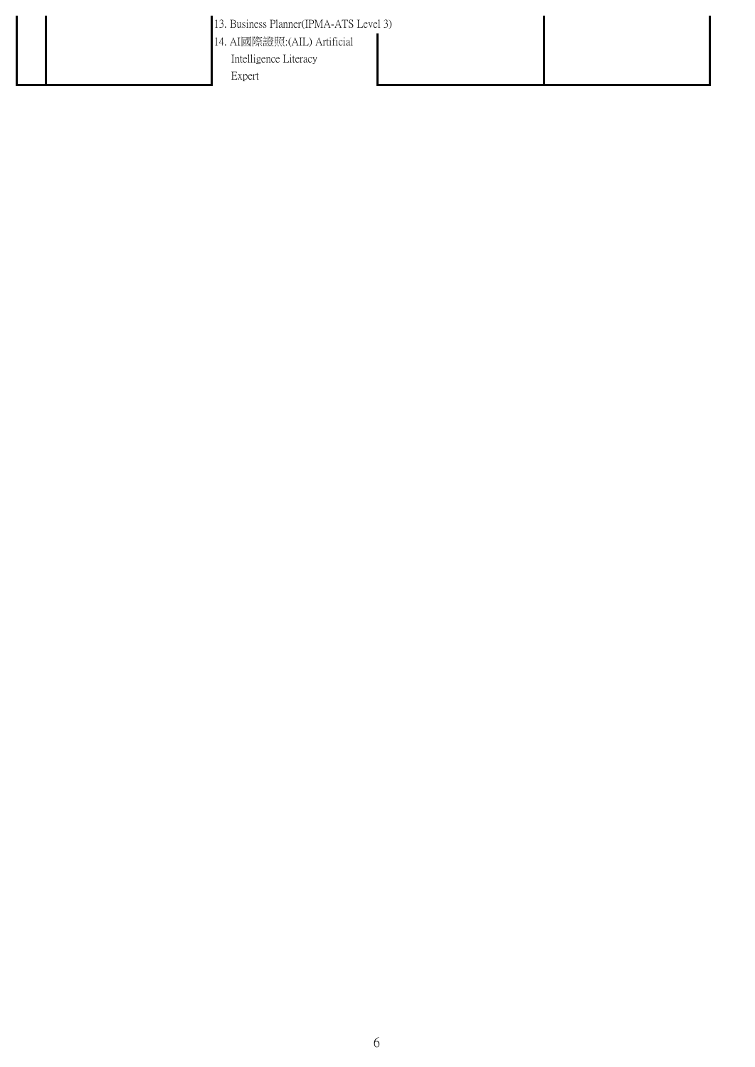- 13. Business Planner(IPMA-ATS Level 3)
- 14. AI國際證照:(AIL) Artificial Intelligence Literacy

Expert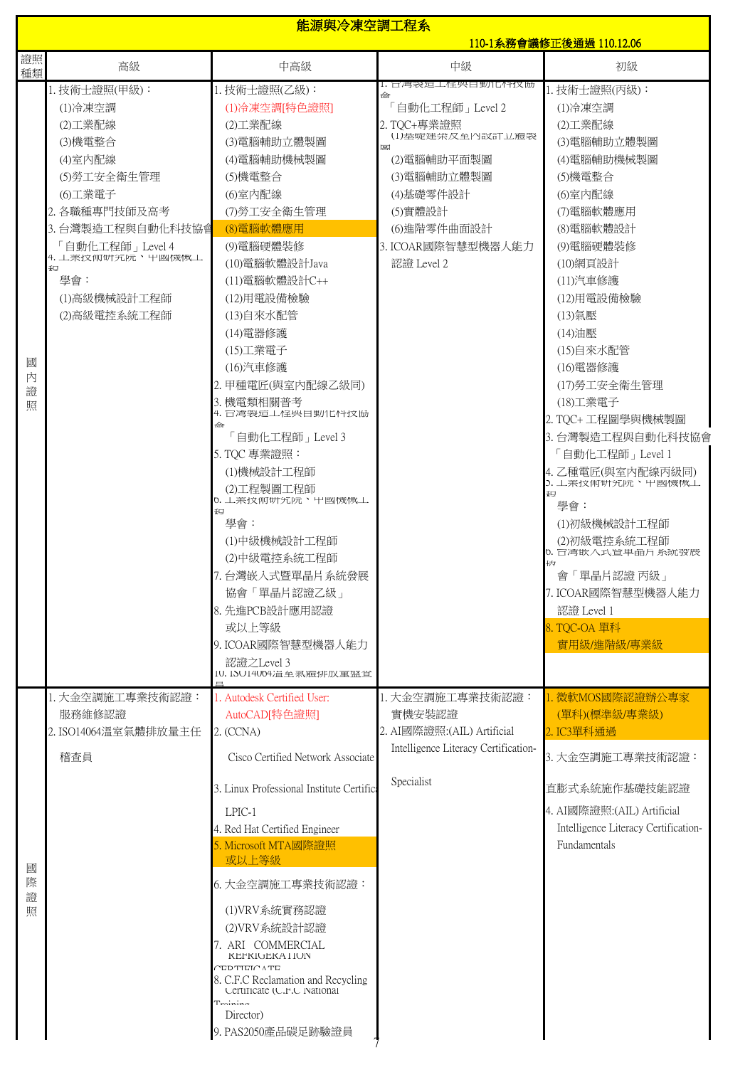|                  |                                                                                                                                                                                                              |                                                                                                                                                                                                                                                                                                                                                                                                                                                                                                                            | 能源與冷凍空調工程系<br>110-1系務會議修正後通過 110.12.06                                                                                                                                 |                                                                                                                                                                                                                                                                                                                                                                                                                                                                                                                       |  |
|------------------|--------------------------------------------------------------------------------------------------------------------------------------------------------------------------------------------------------------|----------------------------------------------------------------------------------------------------------------------------------------------------------------------------------------------------------------------------------------------------------------------------------------------------------------------------------------------------------------------------------------------------------------------------------------------------------------------------------------------------------------------------|------------------------------------------------------------------------------------------------------------------------------------------------------------------------|-----------------------------------------------------------------------------------------------------------------------------------------------------------------------------------------------------------------------------------------------------------------------------------------------------------------------------------------------------------------------------------------------------------------------------------------------------------------------------------------------------------------------|--|
| 證照<br>種類         | 高級                                                                                                                                                                                                           | 中高級                                                                                                                                                                                                                                                                                                                                                                                                                                                                                                                        | 中級                                                                                                                                                                     | 初級                                                                                                                                                                                                                                                                                                                                                                                                                                                                                                                    |  |
| 國<br>内<br>證<br>照 | 1. 技術士證照(甲級):<br>(1)冷凍空調<br>(2)工業配線<br>(3)機電整合<br>(4)室内配線<br>(5)勞工安全衛生管理<br>(6)工業電子<br>2. 各職種專門技師及高考<br>3. 台灣製造工程與自動化科技協會<br>「自動化工程師」Level 4<br>4. 工羔抆何岍宄阮、屮図機慨工<br>钽<br>學會:<br>(1)高級機械設計工程師<br>(2)高級電控系統工程師 | 1. 技術士證照(乙級):<br>(1) 冷凍空調[特色證照]<br>(2)工業配線<br>(3)電腦輔助立體製圖<br>(4)電腦輔助機械製圖<br>(5)機電整合<br>(6)室内配線<br>(7)勞工安全衛生管理<br>(8)電腦軟體應用<br>(9)電腦硬體裝修<br>(10)電腦軟體設計Java<br>(11)電腦軟體設計C++<br>(12)用電設備檢驗<br>(13)自來水配管<br>(14) 電器修護<br>(15)工業電子<br>(16)汽車修護<br>2. 甲種電匠(與室內配線乙級同)<br>3. 機電類相關普考<br>4. 百灣製疸工怪哭目動化性坟肠<br>ക<br>「自動化工程師」Level 3<br>5. TQC 專業證照:<br>(1)機械設計工程師<br>(2)工程製圖工程師<br>0. 丄羔抆伽岍宄阮、屮國機概丄<br>₽Ę<br>學會:<br>(1)中級機械設計工程師<br>(2)中級電控系統工程師<br>7. 台灣嵌入式暨單晶片系統發展<br>協會「單晶片認證乙級」<br>8. 先進PCB設計應用認證<br>或以上等級<br>9. ICOAR國際智慧型機器人能力 | 1. 百湾袋垣工怪哭日勤化鬥抆励<br>命<br>「自動化工程師」 Level 2<br>2. TOC+專業證照<br>囸<br>(2)電腦輔助平面製圖<br>(3)電腦輔助立體製圖<br>(4)基礎零件設計<br>(5)實體設計<br>(6)進階零件曲面設計<br>3. ICOAR國際智慧型機器人能力<br>認證 Level 2 | 1. 技術士證照(丙級):<br>(1)冷凍空調<br>(2)工業配線<br>(3)電腦輔助立體製圖<br>(4)電腦輔助機械製圖<br>(5)機電整合<br>(6)室内配線<br>(7)電腦軟體應用<br>(8)電腦軟體設計<br>(9)電腦硬體裝修<br>(10)網頁設計<br>(11)汽車修護<br>(12)用電設備檢驗<br>(13)氣壓<br>(14)油壓<br>(15)自來水配管<br>(16) 電器修護<br>(17)勞工安全衛生管理<br>(18)工業電子<br>2. TQC+工程圖學與機械製圖<br>3. 台灣製造工程與自動化科技協會<br>「自動化工程師」Level 1<br>4. 乙種電匠(與室內配線丙級同)<br>3. 工亲抆仰岍宄阮、屮図機慨工<br>钽<br>學會:<br>(1)初級機械設計工程師<br>(2)初級電控系統工程師<br>0. 百湾欺入式登里晶斤糸就贺肢<br>$\frac{1}{2}$<br>會「單晶片認證丙級」<br>7. ICOAR國際智慧型機器人能力<br>認證 Level 1<br>8. TQC-OA 單科<br>實用級/進階級/專業級 |  |
|                  | 1. 大金空調施工專業技術認證:<br>服務維修認證                                                                                                                                                                                   | 認證之Level 3<br>10. ISO14064温至黑臆排放重盘查<br>1. Autodesk Certified User:<br>AutoCAD[特色證照]                                                                                                                                                                                                                                                                                                                                                                                                                                        | 1. 大金空調施工專業技術認證:<br>實機安裝認證                                                                                                                                             | 1. 微軟MOS國際認證辦公專家<br>(單科)(標準級/專業級)                                                                                                                                                                                                                                                                                                                                                                                                                                                                                     |  |
| 國<br>際<br>證<br>照 | 2. ISO14064溫室氣體排放量主任<br>稽查員                                                                                                                                                                                  | 2. (CCNA)<br>Cisco Certified Network Associate<br>3. Linux Professional Institute Certifica<br>LPIC-1<br>4. Red Hat Certified Engineer<br>5. Microsoft MTA國際證照<br>或以上等級<br>6. 大金空調施工專業技術認證:<br>(1)VRV系統實務認證<br>(2)VRV系統設計認證<br>7. ARI COMMERCIAL<br><b>KEFKIGEKATION</b><br>CDTITCATE<br>8. C.F.C Reclamation and Recycling<br>Certificate (C.F.C National<br>$T_{\text{minima}}$<br>Director)<br>9. PAS2050產品碳足跡驗證員                                                                                                       | 2. AI國際證照: (AIL) Artificial<br>Intelligence Literacy Certification-<br>Specialist                                                                                      | 2. IC3單科通過<br>3. 大金空調施工專業技術認證:<br>直膨式系統施作基礎技能認證<br>4. AI國際證照:(AIL) Artificial<br>Intelligence Literacy Certification-<br>Fundamentals                                                                                                                                                                                                                                                                                                                                                                                 |  |